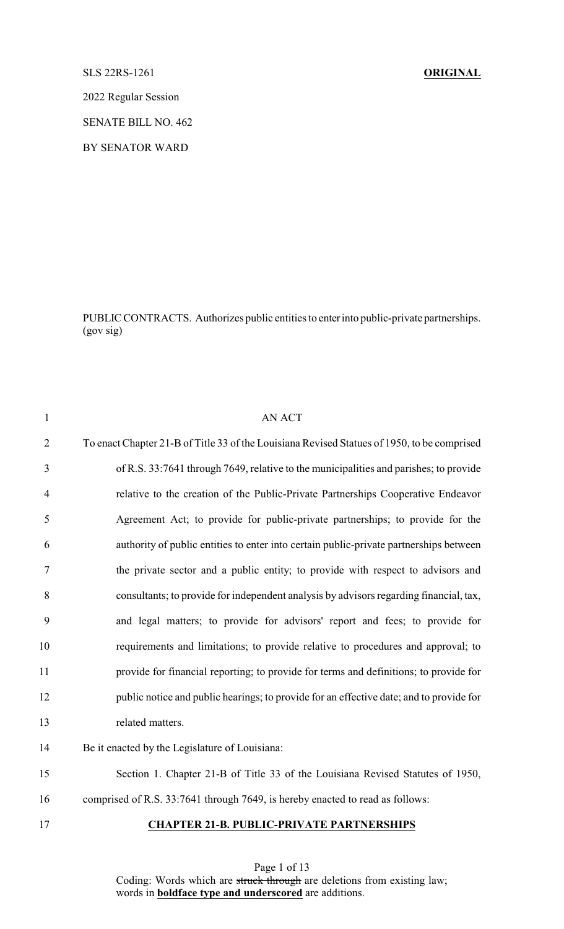### SLS 22RS-1261 **ORIGINAL**

2022 Regular Session

SENATE BILL NO. 462

BY SENATOR WARD

PUBLIC CONTRACTS. Authorizes public entities to enterinto public-private partnerships. (gov sig)

| $\mathbf{1}$   | <b>AN ACT</b>                                                                               |
|----------------|---------------------------------------------------------------------------------------------|
| $\overline{2}$ | To enact Chapter 21-B of Title 33 of the Louisiana Revised Statues of 1950, to be comprised |
| 3              | of R.S. 33:7641 through 7649, relative to the municipalities and parishes; to provide       |
| $\overline{4}$ | relative to the creation of the Public-Private Partnerships Cooperative Endeavor            |
| 5              | Agreement Act; to provide for public-private partnerships; to provide for the               |
| 6              | authority of public entities to enter into certain public-private partnerships between      |
| $\tau$         | the private sector and a public entity; to provide with respect to advisors and             |
| 8              | consultants; to provide for independent analysis by advisors regarding financial, tax,      |
| 9              | and legal matters; to provide for advisors' report and fees; to provide for                 |
| 10             | requirements and limitations; to provide relative to procedures and approval; to            |
| 11             | provide for financial reporting; to provide for terms and definitions; to provide for       |
| 12             | public notice and public hearings; to provide for an effective date; and to provide for     |
| 13             | related matters.                                                                            |
| 14             | Be it enacted by the Legislature of Louisiana:                                              |
| 15             | Section 1. Chapter 21-B of Title 33 of the Louisiana Revised Statutes of 1950,              |
| 16             | comprised of R.S. 33:7641 through 7649, is hereby enacted to read as follows:               |
| 17             | <b>CHAPTER 21-B. PUBLIC-PRIVATE PARTNERSHIPS</b>                                            |

Page 1 of 13 Coding: Words which are struck through are deletions from existing law; words in **boldface type and underscored** are additions.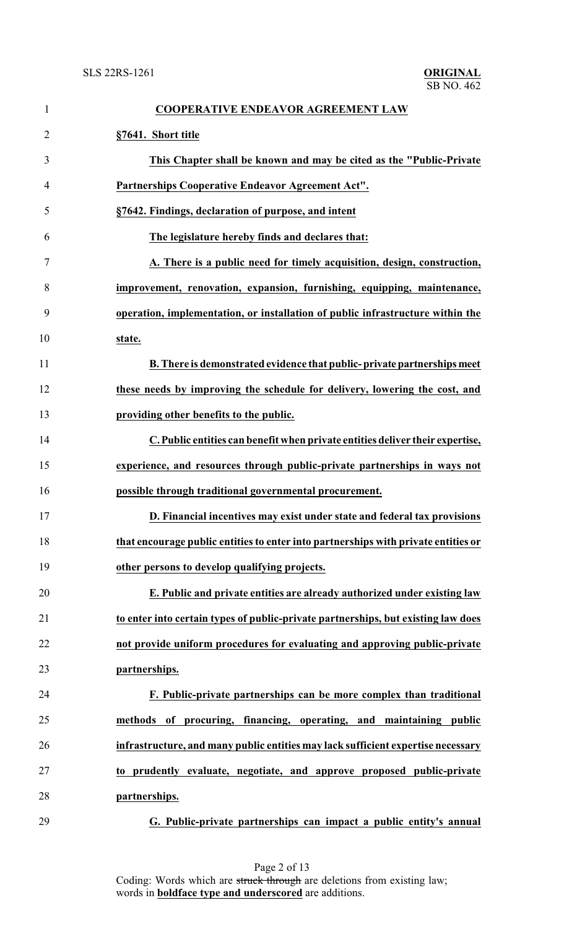| 1              | <b>COOPERATIVE ENDEAVOR AGREEMENT LAW</b>                                          |
|----------------|------------------------------------------------------------------------------------|
| $\overline{2}$ | §7641. Short title                                                                 |
| 3              | This Chapter shall be known and may be cited as the "Public-Private"               |
| 4              | Partnerships Cooperative Endeavor Agreement Act".                                  |
| 5              | §7642. Findings, declaration of purpose, and intent                                |
| 6              | The legislature hereby finds and declares that:                                    |
| 7              | A. There is a public need for timely acquisition, design, construction,            |
| 8              | improvement, renovation, expansion, furnishing, equipping, maintenance,            |
| 9              | operation, implementation, or installation of public infrastructure within the     |
| 10             | state.                                                                             |
| 11             | B. There is demonstrated evidence that public-private partnerships meet            |
| 12             | these needs by improving the schedule for delivery, lowering the cost, and         |
| 13             | providing other benefits to the public.                                            |
| 14             | C. Public entities can benefit when private entities deliver their expertise,      |
| 15             | experience, and resources through public-private partnerships in ways not          |
| 16             | possible through traditional governmental procurement.                             |
| 17             | D. Financial incentives may exist under state and federal tax provisions           |
| 18             | that encourage public entities to enter into partnerships with private entities or |
| 19             | other persons to develop qualifying projects.                                      |
| 20             | E. Public and private entities are already authorized under existing law           |
| 21             | to enter into certain types of public-private partnerships, but existing law does  |
| 22             | not provide uniform procedures for evaluating and approving public-private         |
| 23             | partnerships.                                                                      |
| 24             | F. Public-private partnerships can be more complex than traditional                |
| 25             | methods of procuring, financing, operating, and maintaining public                 |
| 26             | infrastructure, and many public entities may lack sufficient expertise necessary   |
| 27             | to prudently evaluate, negotiate, and approve proposed public-private              |
| 28             | partnerships.                                                                      |
| 29             | G. Public-private partnerships can impact a public entity's annual                 |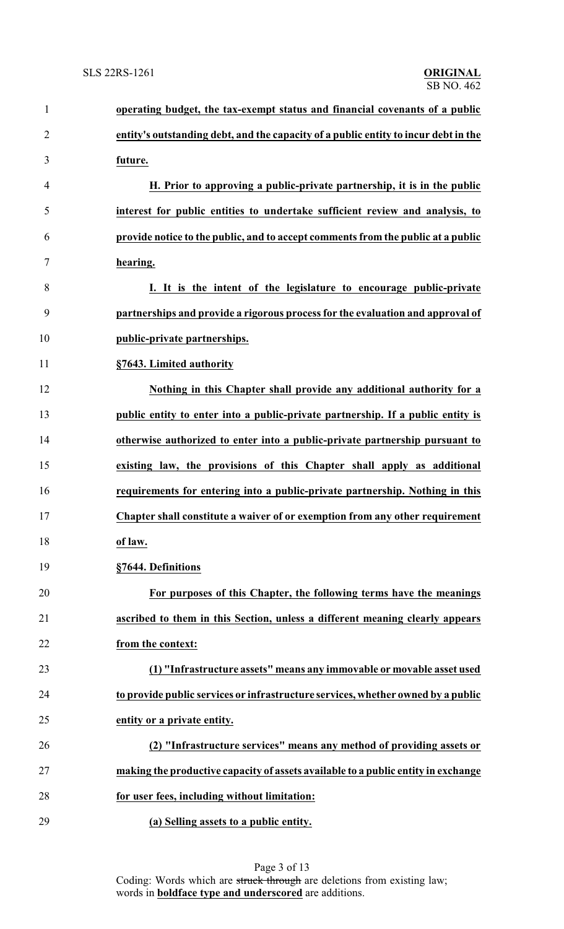| $\mathbf{1}$   | operating budget, the tax-exempt status and financial covenants of a public         |
|----------------|-------------------------------------------------------------------------------------|
| $\overline{2}$ | entity's outstanding debt, and the capacity of a public entity to incur debt in the |
| 3              | future.                                                                             |
| $\overline{4}$ | H. Prior to approving a public-private partnership, it is in the public             |
| 5              | interest for public entities to undertake sufficient review and analysis, to        |
| 6              | provide notice to the public, and to accept comments from the public at a public    |
| $\overline{7}$ | hearing.                                                                            |
| 8              | I. It is the intent of the legislature to encourage public-private                  |
| 9              | partnerships and provide a rigorous process for the evaluation and approval of      |
| 10             | public-private partnerships.                                                        |
| 11             | §7643. Limited authority                                                            |
| 12             | Nothing in this Chapter shall provide any additional authority for a                |
| 13             | public entity to enter into a public-private partnership. If a public entity is     |
| 14             | otherwise authorized to enter into a public-private partnership pursuant to         |
| 15             | existing law, the provisions of this Chapter shall apply as additional              |
| 16             | requirements for entering into a public-private partnership. Nothing in this        |
| 17             | Chapter shall constitute a waiver of or exemption from any other requirement        |
| 18             | of law.                                                                             |
| 19             | §7644. Definitions                                                                  |
| 20             | For purposes of this Chapter, the following terms have the meanings                 |
| 21             | ascribed to them in this Section, unless a different meaning clearly appears        |
| 22             | from the context:                                                                   |
| 23             | (1) "Infrastructure assets" means any immovable or movable asset used               |
| 24             | to provide public services or infrastructure services, whether owned by a public    |
| 25             | entity or a private entity.                                                         |
| 26             | (2) "Infrastructure services" means any method of providing assets or               |
| 27             | making the productive capacity of assets available to a public entity in exchange   |
| 28             | for user fees, including without limitation:                                        |
| 29             | (a) Selling assets to a public entity.                                              |

Page 3 of 13 Coding: Words which are struck through are deletions from existing law; words in **boldface type and underscored** are additions.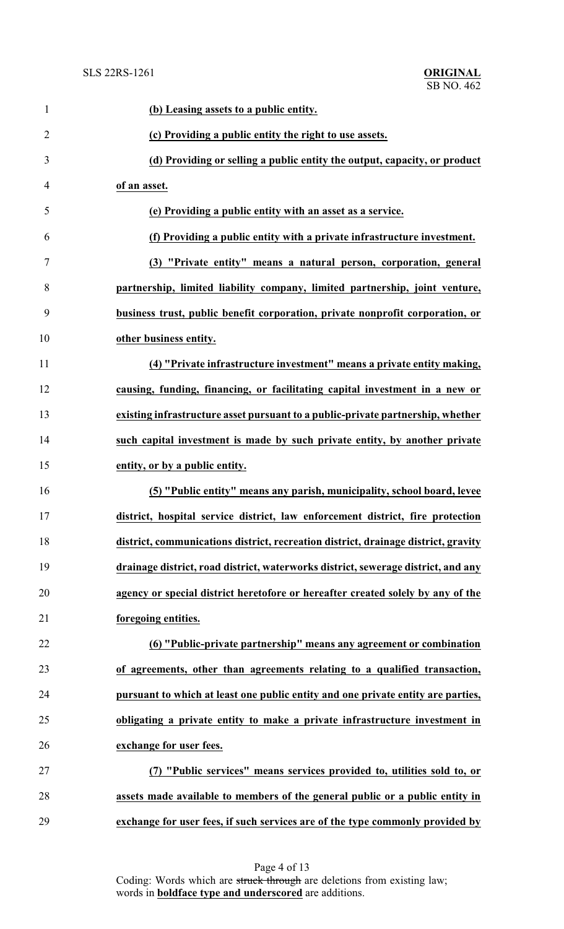| $\mathbf{1}$   | (b) Leasing assets to a public entity.                                             |
|----------------|------------------------------------------------------------------------------------|
| $\overline{2}$ | (c) Providing a public entity the right to use assets.                             |
| 3              | (d) Providing or selling a public entity the output, capacity, or product          |
| 4              | of an asset.                                                                       |
| 5              | (e) Providing a public entity with an asset as a service.                          |
| 6              | (f) Providing a public entity with a private infrastructure investment.            |
| 7              | (3) "Private entity" means a natural person, corporation, general                  |
| 8              | partnership, limited liability company, limited partnership, joint venture,        |
| 9              | business trust, public benefit corporation, private nonprofit corporation, or      |
| 10             | other business entity.                                                             |
| 11             | (4) "Private infrastructure investment" means a private entity making,             |
| 12             | causing, funding, financing, or facilitating capital investment in a new or        |
| 13             | existing infrastructure asset pursuant to a public-private partnership, whether    |
| 14             | such capital investment is made by such private entity, by another private         |
| 15             | entity, or by a public entity.                                                     |
| 16             | (5) "Public entity" means any parish, municipality, school board, levee            |
| 17             | district, hospital service district, law enforcement district, fire protection     |
| 18             | district, communications district, recreation district, drainage district, gravity |
| 19             | drainage district, road district, waterworks district, sewerage district, and any  |
| 20             | agency or special district heretofore or hereafter created solely by any of the    |
| 21             | foregoing entities.                                                                |
| 22             | (6) "Public-private partnership" means any agreement or combination                |
| 23             | of agreements, other than agreements relating to a qualified transaction,          |
| 24             | pursuant to which at least one public entity and one private entity are parties,   |
| 25             | obligating a private entity to make a private infrastructure investment in         |
| 26             | exchange for user fees.                                                            |
| 27             | (7) "Public services" means services provided to, utilities sold to, or            |
| 28             | assets made available to members of the general public or a public entity in       |
| 29             | exchange for user fees, if such services are of the type commonly provided by      |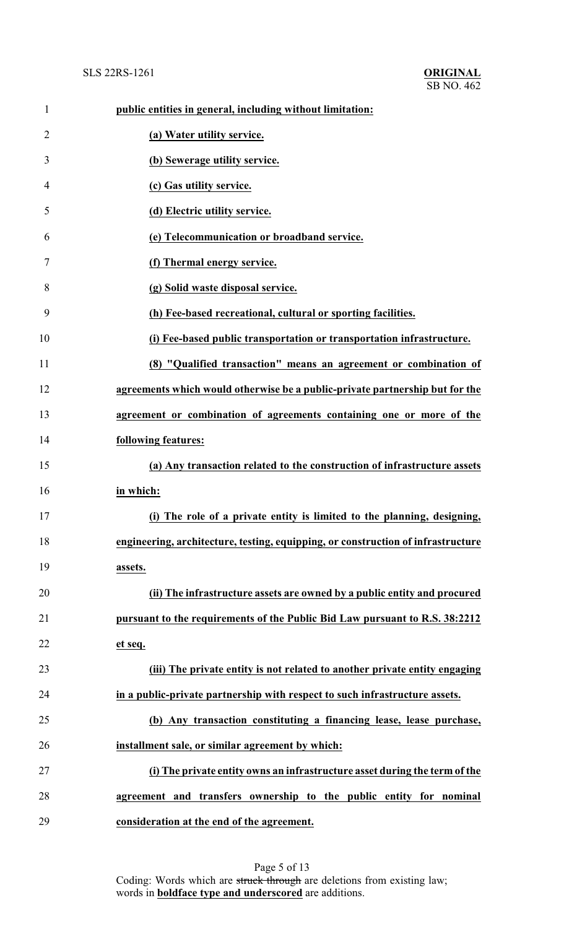## SLS 22RS-1261 **ORIGINAL**

| $\mathbf{1}$   | public entities in general, including without limitation:                        |
|----------------|----------------------------------------------------------------------------------|
| $\overline{2}$ | (a) Water utility service.                                                       |
| 3              | (b) Sewerage utility service.                                                    |
| $\overline{4}$ | (c) Gas utility service.                                                         |
| 5              | (d) Electric utility service.                                                    |
| 6              | (e) Telecommunication or broadband service.                                      |
| 7              | (f) Thermal energy service.                                                      |
| 8              | (g) Solid waste disposal service.                                                |
| 9              | (h) Fee-based recreational, cultural or sporting facilities.                     |
| 10             | (i) Fee-based public transportation or transportation infrastructure.            |
| 11             | (8) "Qualified transaction" means an agreement or combination of                 |
| 12             | agreements which would otherwise be a public-private partnership but for the     |
| 13             | agreement or combination of agreements containing one or more of the             |
| 14             | following features:                                                              |
| 15             | (a) Any transaction related to the construction of infrastructure assets         |
| 16             | in which:                                                                        |
| 17             | (i) The role of a private entity is limited to the planning, designing,          |
| 18             | engineering, architecture, testing, equipping, or construction of infrastructure |
| 19             | assets.                                                                          |
| 20             | (ii) The infrastructure assets are owned by a public entity and procured         |
| 21             | pursuant to the requirements of the Public Bid Law pursuant to R.S. 38:2212      |
| 22             | et seq.                                                                          |
| 23             | (iii) The private entity is not related to another private entity engaging       |
| 24             | in a public-private partnership with respect to such infrastructure assets.      |
| 25             | (b) Any transaction constituting a financing lease, lease purchase,              |
| 26             | installment sale, or similar agreement by which:                                 |
| 27             | (i) The private entity owns an infrastructure asset during the term of the       |
| 28             | agreement and transfers ownership to the public entity for nominal               |
| 29             | consideration at the end of the agreement.                                       |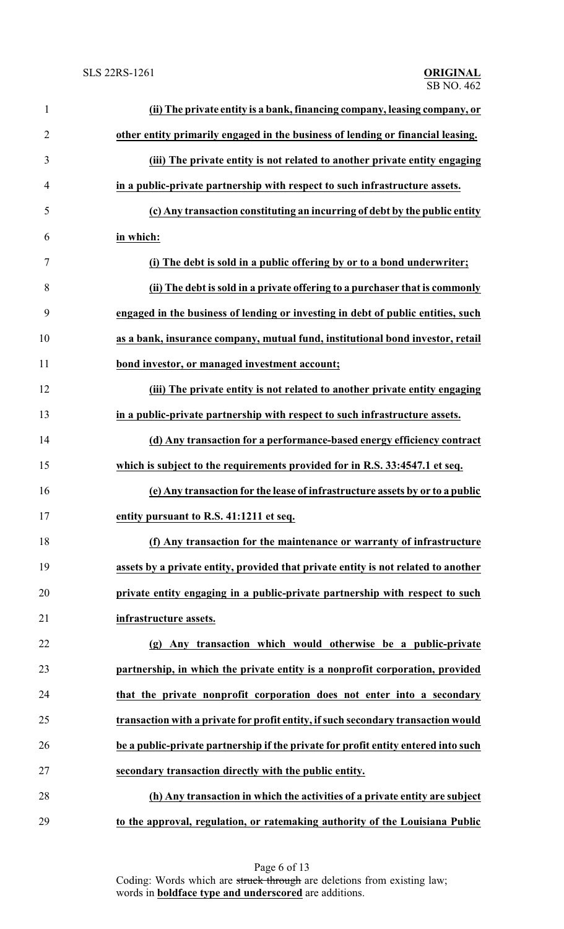| $\mathbf{1}$   | (ii) The private entity is a bank, financing company, leasing company, or          |
|----------------|------------------------------------------------------------------------------------|
| $\overline{2}$ | other entity primarily engaged in the business of lending or financial leasing.    |
| 3              | (iii) The private entity is not related to another private entity engaging         |
| 4              | in a public-private partnership with respect to such infrastructure assets.        |
| 5              | (c) Any transaction constituting an incurring of debt by the public entity         |
| 6              | in which:                                                                          |
| 7              | (i) The debt is sold in a public offering by or to a bond underwriter;             |
| 8              | (ii) The debt is sold in a private offering to a purchaser that is commonly        |
| 9              | engaged in the business of lending or investing in debt of public entities, such   |
| 10             | as a bank, insurance company, mutual fund, institutional bond investor, retail     |
| 11             | bond investor, or managed investment account;                                      |
| 12             | (iii) The private entity is not related to another private entity engaging         |
| 13             | in a public-private partnership with respect to such infrastructure assets.        |
| 14             | (d) Any transaction for a performance-based energy efficiency contract             |
| 15             | which is subject to the requirements provided for in R.S. 33:4547.1 et seq.        |
| 16             | (e) Any transaction for the lease of infrastructure assets by or to a public       |
| 17             | entity pursuant to R.S. 41:1211 et seq.                                            |
| 18             | (f) Any transaction for the maintenance or warranty of infrastructure              |
| 19             | assets by a private entity, provided that private entity is not related to another |
| 20             | private entity engaging in a public-private partnership with respect to such       |
| 21             | infrastructure assets.                                                             |
| 22             | (g) Any transaction which would otherwise be a public-private                      |
| 23             | partnership, in which the private entity is a nonprofit corporation, provided      |
| 24             | that the private nonprofit corporation does not enter into a secondary             |
| 25             | transaction with a private for profit entity, if such secondary transaction would  |
| 26             | be a public-private partnership if the private for profit entity entered into such |
| 27             | secondary transaction directly with the public entity.                             |
| 28             | (h) Any transaction in which the activities of a private entity are subject        |
| 29             | to the approval, regulation, or ratemaking authority of the Louisiana Public       |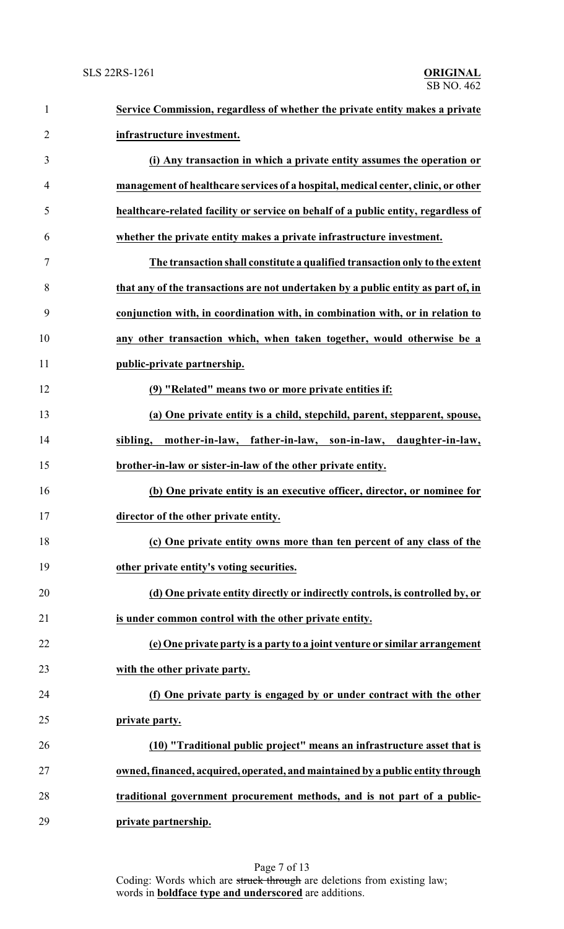### SLS 22RS-1261 **ORIGINAL**

| $\mathbf{1}$   | Service Commission, regardless of whether the private entity makes a private       |
|----------------|------------------------------------------------------------------------------------|
| $\overline{2}$ | infrastructure investment.                                                         |
| 3              | (i) Any transaction in which a private entity assumes the operation or             |
| $\overline{4}$ | management of healthcare services of a hospital, medical center, clinic, or other  |
| 5              | healthcare-related facility or service on behalf of a public entity, regardless of |
| 6              | whether the private entity makes a private infrastructure investment.              |
| 7              | The transaction shall constitute a qualified transaction only to the extent        |
| 8              | that any of the transactions are not undertaken by a public entity as part of, in  |
| 9              | conjunction with, in coordination with, in combination with, or in relation to     |
| 10             | any other transaction which, when taken together, would otherwise be a             |
| 11             | public-private partnership.                                                        |
| 12             | (9) "Related" means two or more private entities if:                               |
| 13             | (a) One private entity is a child, stepchild, parent, stepparent, spouse,          |
| 14             | mother-in-law, father-in-law, son-in-law, daughter-in-law,<br>sibling,             |
| 15             | brother-in-law or sister-in-law of the other private entity.                       |
| 16             | (b) One private entity is an executive officer, director, or nominee for           |
| 17             | director of the other private entity.                                              |
| 18             | (c) One private entity owns more than ten percent of any class of the              |
| 19             | other private entity's voting securities.                                          |
| 20             | (d) One private entity directly or indirectly controls, is controlled by, or       |
| 21             | is under common control with the other private entity.                             |
| 22             | (e) One private party is a party to a joint venture or similar arrangement         |
| 23             | with the other private party.                                                      |
| 24             | (f) One private party is engaged by or under contract with the other               |
| 25             | private party.                                                                     |
| 26             | (10) "Traditional public project" means an infrastructure asset that is            |
| 27             | owned, financed, acquired, operated, and maintained by a public entity through     |
| 28             | traditional government procurement methods, and is not part of a public-           |
| 29             | private partnership.                                                               |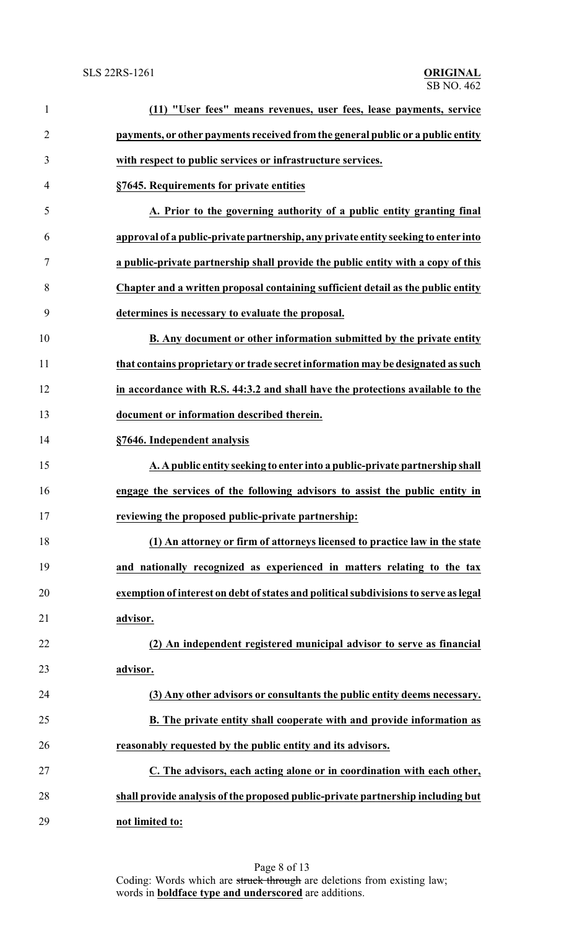# SB NO. 462

| $\mathbf{1}$   | (11) "User fees" means revenues, user fees, lease payments, service                  |
|----------------|--------------------------------------------------------------------------------------|
| $\overline{2}$ | payments, or other payments received from the general public or a public entity      |
| 3              | with respect to public services or infrastructure services.                          |
| 4              | §7645. Requirements for private entities                                             |
| 5              | A. Prior to the governing authority of a public entity granting final                |
| 6              | approval of a public-private partnership, any private entity seeking to enter into   |
| 7              | a public-private partnership shall provide the public entity with a copy of this     |
| 8              | Chapter and a written proposal containing sufficient detail as the public entity     |
| 9              | determines is necessary to evaluate the proposal.                                    |
| 10             | B. Any document or other information submitted by the private entity                 |
| 11             | that contains proprietary or trade secret information may be designated as such      |
| 12             | in accordance with R.S. 44:3.2 and shall have the protections available to the       |
| 13             | document or information described therein.                                           |
| 14             | §7646. Independent analysis                                                          |
| 15             | A. A public entity seeking to enter into a public-private partnership shall          |
| 16             | engage the services of the following advisors to assist the public entity in         |
| 17             | reviewing the proposed public-private partnership:                                   |
| 18             | (1) An attorney or firm of attorneys licensed to practice law in the state           |
| 19             | and nationally recognized as experienced in matters relating to the tax              |
| 20             | exemption of interest on debt of states and political subdivisions to serve as legal |
| 21             | advisor.                                                                             |
| 22             | (2) An independent registered municipal advisor to serve as financial                |
| 23             | advisor.                                                                             |
| 24             | (3) Any other advisors or consultants the public entity deems necessary.             |
| 25             | B. The private entity shall cooperate with and provide information as                |
| 26             | reasonably requested by the public entity and its advisors.                          |
| 27             | C. The advisors, each acting alone or in coordination with each other,               |
| 28             | shall provide analysis of the proposed public-private partnership including but      |
| 29             | not limited to:                                                                      |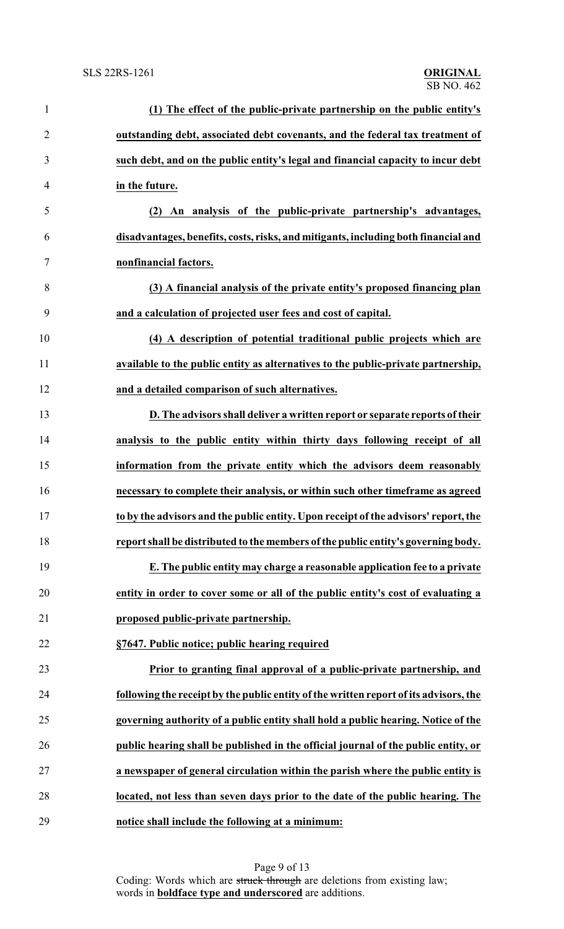| $\mathbf{1}$   | (1) The effect of the public-private partnership on the public entity's               |
|----------------|---------------------------------------------------------------------------------------|
| $\overline{2}$ | outstanding debt, associated debt covenants, and the federal tax treatment of         |
| 3              | such debt, and on the public entity's legal and financial capacity to incur debt      |
| 4              | in the future.                                                                        |
| 5              | (2) An analysis of the public-private partnership's advantages,                       |
| 6              | disadvantages, benefits, costs, risks, and mitigants, including both financial and    |
| 7              | nonfinancial factors.                                                                 |
| 8              | (3) A financial analysis of the private entity's proposed financing plan              |
| 9              | and a calculation of projected user fees and cost of capital.                         |
| 10             | (4) A description of potential traditional public projects which are                  |
| 11             | available to the public entity as alternatives to the public-private partnership,     |
| 12             | and a detailed comparison of such alternatives.                                       |
| 13             | D. The advisors shall deliver a written report or separate reports of their           |
| 14             | analysis to the public entity within thirty days following receipt of all             |
| 15             | information from the private entity which the advisors deem reasonably                |
| 16             | necessary to complete their analysis, or within such other timeframe as agreed        |
| 17             | to by the advisors and the public entity. Upon receipt of the advisors' report, the   |
| 18             | report shall be distributed to the members of the public entity's governing body.     |
| 19             | E. The public entity may charge a reasonable application fee to a private             |
| 20             | entity in order to cover some or all of the public entity's cost of evaluating a      |
| 21             | proposed public-private partnership.                                                  |
| 22             | §7647. Public notice; public hearing required                                         |
| 23             | Prior to granting final approval of a public-private partnership, and                 |
| 24             | following the receipt by the public entity of the written report of its advisors, the |
| 25             | governing authority of a public entity shall hold a public hearing. Notice of the     |
| 26             | public hearing shall be published in the official journal of the public entity, or    |
| 27             | a newspaper of general circulation within the parish where the public entity is       |
| 28             | located, not less than seven days prior to the date of the public hearing. The        |
| 29             | notice shall include the following at a minimum:                                      |

Page 9 of 13 Coding: Words which are struck through are deletions from existing law; words in **boldface type and underscored** are additions.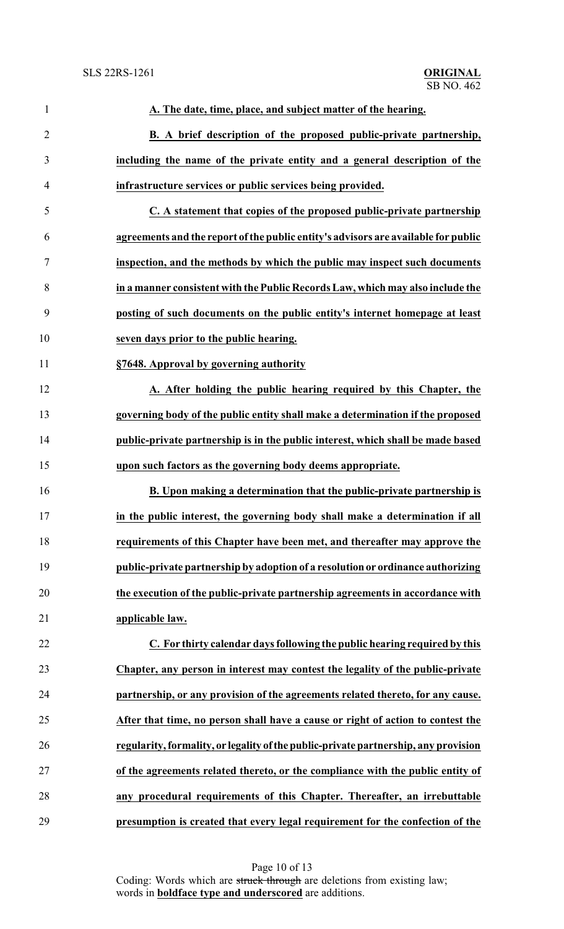| $\mathbf{1}$   | A. The date, time, place, and subject matter of the hearing.                        |
|----------------|-------------------------------------------------------------------------------------|
| $\overline{2}$ | B. A brief description of the proposed public-private partnership,                  |
| 3              | including the name of the private entity and a general description of the           |
| $\overline{4}$ | infrastructure services or public services being provided.                          |
| 5              | C. A statement that copies of the proposed public-private partnership               |
| 6              | agreements and the report of the public entity's advisors are available for public  |
| 7              | inspection, and the methods by which the public may inspect such documents          |
| 8              | in a manner consistent with the Public Records Law, which may also include the      |
| 9              | posting of such documents on the public entity's internet homepage at least         |
| 10             | seven days prior to the public hearing.                                             |
| 11             | §7648. Approval by governing authority                                              |
| 12             | A. After holding the public hearing required by this Chapter, the                   |
| 13             | governing body of the public entity shall make a determination if the proposed      |
| 14             | public-private partnership is in the public interest, which shall be made based     |
| 15             | upon such factors as the governing body deems appropriate.                          |
| 16             | B. Upon making a determination that the public-private partnership is               |
| 17             | in the public interest, the governing body shall make a determination if all        |
| 18             | requirements of this Chapter have been met, and thereafter may approve the          |
| 19             | public-private partnership by adoption of a resolution or ordinance authorizing     |
| 20             | the execution of the public-private partnership agreements in accordance with       |
| 21             | applicable law.                                                                     |
| 22             | C. For thirty calendar days following the public hearing required by this           |
| 23             | Chapter, any person in interest may contest the legality of the public-private      |
| 24             | partnership, or any provision of the agreements related thereto, for any cause.     |
| 25             | After that time, no person shall have a cause or right of action to contest the     |
| 26             | regularity, formality, or legality of the public-private partnership, any provision |
| 27             | of the agreements related thereto, or the compliance with the public entity of      |
| 28             | any procedural requirements of this Chapter. Thereafter, an irrebuttable            |
| 29             | presumption is created that every legal requirement for the confection of the       |

Page 10 of 13 Coding: Words which are struck through are deletions from existing law; words in **boldface type and underscored** are additions.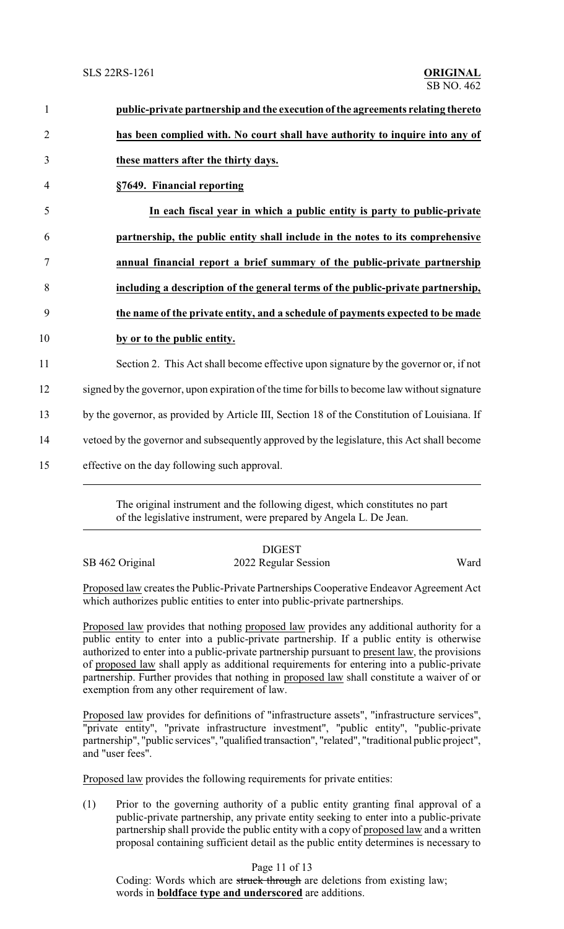| $\mathbf{1}$   | public-private partnership and the execution of the agreements relating thereto               |
|----------------|-----------------------------------------------------------------------------------------------|
| $\overline{2}$ | has been complied with. No court shall have authority to inquire into any of                  |
| 3              | these matters after the thirty days.                                                          |
| $\overline{4}$ | §7649. Financial reporting                                                                    |
| 5              | In each fiscal year in which a public entity is party to public-private                       |
| 6              | partnership, the public entity shall include in the notes to its comprehensive                |
| 7              | annual financial report a brief summary of the public-private partnership                     |
| 8              | including a description of the general terms of the public-private partnership,               |
| 9              | the name of the private entity, and a schedule of payments expected to be made                |
| 10             | by or to the public entity.                                                                   |
| 11             | Section 2. This Act shall become effective upon signature by the governor or, if not          |
| 12             | signed by the governor, upon expiration of the time for bills to become law without signature |
| 13             | by the governor, as provided by Article III, Section 18 of the Constitution of Louisiana. If  |
| 14             | vetoed by the governor and subsequently approved by the legislature, this Act shall become    |
| 15             | effective on the day following such approval.                                                 |
|                |                                                                                               |

The original instrument and the following digest, which constitutes no part of the legislative instrument, were prepared by Angela L. De Jean.

### DIGEST SB 462 Original 2022 Regular Session Ward

Proposed law creates the Public-Private Partnerships Cooperative Endeavor Agreement Act which authorizes public entities to enter into public-private partnerships.

Proposed law provides that nothing proposed law provides any additional authority for a public entity to enter into a public-private partnership. If a public entity is otherwise authorized to enter into a public-private partnership pursuant to present law, the provisions of proposed law shall apply as additional requirements for entering into a public-private partnership. Further provides that nothing in proposed law shall constitute a waiver of or exemption from any other requirement of law.

Proposed law provides for definitions of "infrastructure assets", "infrastructure services", "private entity", "private infrastructure investment", "public entity", "public-private partnership", "public services", "qualified transaction", "related", "traditional public project", and "user fees".

Proposed law provides the following requirements for private entities:

(1) Prior to the governing authority of a public entity granting final approval of a public-private partnership, any private entity seeking to enter into a public-private partnership shall provide the public entity with a copy of proposed law and a written proposal containing sufficient detail as the public entity determines is necessary to

### Page 11 of 13

Coding: Words which are struck through are deletions from existing law; words in **boldface type and underscored** are additions.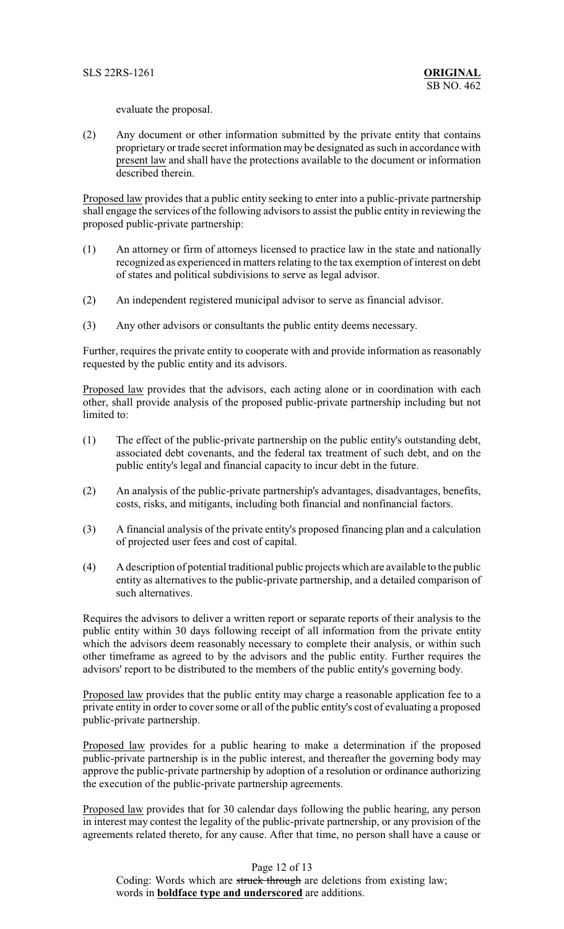evaluate the proposal.

(2) Any document or other information submitted by the private entity that contains proprietary or trade secret information may be designated as such in accordance with present law and shall have the protections available to the document or information described therein.

Proposed law provides that a public entity seeking to enter into a public-private partnership shall engage the services of the following advisors to assist the public entity in reviewing the proposed public-private partnership:

- (1) An attorney or firm of attorneys licensed to practice law in the state and nationally recognized as experienced in matters relating to the tax exemption of interest on debt of states and political subdivisions to serve as legal advisor.
- (2) An independent registered municipal advisor to serve as financial advisor.
- (3) Any other advisors or consultants the public entity deems necessary.

Further, requires the private entity to cooperate with and provide information as reasonably requested by the public entity and its advisors.

Proposed law provides that the advisors, each acting alone or in coordination with each other, shall provide analysis of the proposed public-private partnership including but not limited to:

- (1) The effect of the public-private partnership on the public entity's outstanding debt, associated debt covenants, and the federal tax treatment of such debt, and on the public entity's legal and financial capacity to incur debt in the future.
- (2) An analysis of the public-private partnership's advantages, disadvantages, benefits, costs, risks, and mitigants, including both financial and nonfinancial factors.
- (3) A financial analysis of the private entity's proposed financing plan and a calculation of projected user fees and cost of capital.
- (4) A description of potential traditional public projects which are available to the public entity as alternatives to the public-private partnership, and a detailed comparison of such alternatives.

Requires the advisors to deliver a written report or separate reports of their analysis to the public entity within 30 days following receipt of all information from the private entity which the advisors deem reasonably necessary to complete their analysis, or within such other timeframe as agreed to by the advisors and the public entity. Further requires the advisors' report to be distributed to the members of the public entity's governing body.

Proposed law provides that the public entity may charge a reasonable application fee to a private entity in order to cover some or all of the public entity's cost of evaluating a proposed public-private partnership.

Proposed law provides for a public hearing to make a determination if the proposed public-private partnership is in the public interest, and thereafter the governing body may approve the public-private partnership by adoption of a resolution or ordinance authorizing the execution of the public-private partnership agreements.

Proposed law provides that for 30 calendar days following the public hearing, any person in interest may contest the legality of the public-private partnership, or any provision of the agreements related thereto, for any cause. After that time, no person shall have a cause or

### Page 12 of 13

Coding: Words which are struck through are deletions from existing law; words in **boldface type and underscored** are additions.